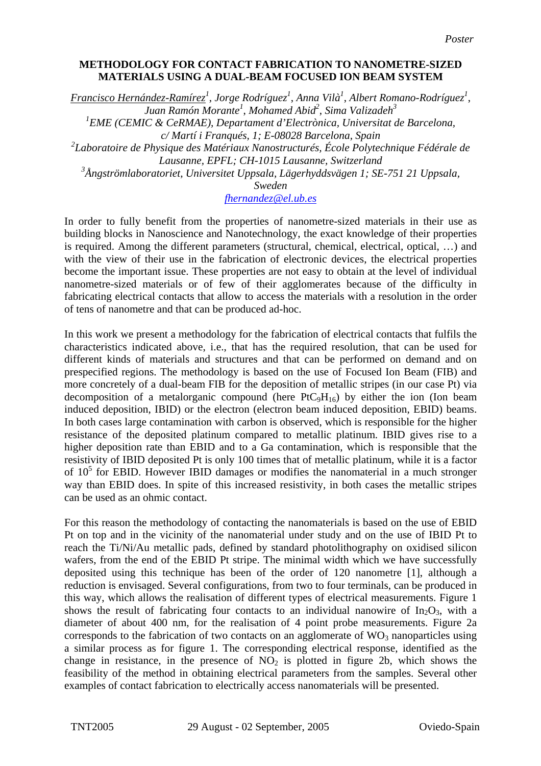## **METHODOLOGY FOR CONTACT FABRICATION TO NANOMETRE-SIZED MATERIALS USING A DUAL-BEAM FOCUSED ION BEAM SYSTEM**

*Francisco Hernández-Ramírez<sup>1</sup>* , *Jorge Rodríguez1* , *Anna Vilà1* , *Albert Romano-Rodríguez1* , *Juan Ramón Morante<sup>1</sup>* , *Mohamed Abid2* , *Sima Valizadeh<sup>3</sup>*

<sup>1</sup> EME (CEMIC & CeRMAE), Departament d'Electrònica, Universitat de Barcelona,

*c/ Martí i Franqués, 1; E-08028 Barcelona, Spain* 

*2 Laboratoire de Physique des Matériaux Nanostructurés, École Polytechnique Fédérale de Lausanne, EPFL; CH-1015 Lausanne, Switzerland* 

*3 Ångströmlaboratoriet, Universitet Uppsala, Lägerhyddsvägen 1; SE-751 21 Uppsala,* 

*Sweden* 

## *[fhernandez@el.ub.es](mailto:fhernandez@el.ub.es)*

In order to fully benefit from the properties of nanometre-sized materials in their use as building blocks in Nanoscience and Nanotechnology, the exact knowledge of their properties is required. Among the different parameters (structural, chemical, electrical, optical, …) and with the view of their use in the fabrication of electronic devices, the electrical properties become the important issue. These properties are not easy to obtain at the level of individual nanometre-sized materials or of few of their agglomerates because of the difficulty in fabricating electrical contacts that allow to access the materials with a resolution in the order of tens of nanometre and that can be produced ad-hoc.

In this work we present a methodology for the fabrication of electrical contacts that fulfils the characteristics indicated above, i.e., that has the required resolution, that can be used for different kinds of materials and structures and that can be performed on demand and on prespecified regions. The methodology is based on the use of Focused Ion Beam (FIB) and more concretely of a dual-beam FIB for the deposition of metallic stripes (in our case Pt) via decomposition of a metalorganic compound (here  $PtC_9H_{16}$ ) by either the ion (Ion beam induced deposition, IBID) or the electron (electron beam induced deposition, EBID) beams. In both cases large contamination with carbon is observed, which is responsible for the higher resistance of the deposited platinum compared to metallic platinum. IBID gives rise to a higher deposition rate than EBID and to a Ga contamination, which is responsible that the resistivity of IBID deposited Pt is only 100 times that of metallic platinum, while it is a factor of  $10<sup>5</sup>$  for EBID. However IBID damages or modifies the nanomaterial in a much stronger way than EBID does. In spite of this increased resistivity, in both cases the metallic stripes can be used as an ohmic contact.

For this reason the methodology of contacting the nanomaterials is based on the use of EBID Pt on top and in the vicinity of the nanomaterial under study and on the use of IBID Pt to reach the Ti/Ni/Au metallic pads, defined by standard photolithography on oxidised silicon wafers, from the end of the EBID Pt stripe. The minimal width which we have successfully deposited using this technique has been of the order of 120 nanometre [1], although a reduction is envisaged. Several configurations, from two to four terminals, can be produced in this way, which allows the realisation of different types of electrical measurements. Figure 1 shows the result of fabricating four contacts to an individual nanowire of  $In_2O_3$ , with a diameter of about 400 nm, for the realisation of 4 point probe measurements. Figure 2a corresponds to the fabrication of two contacts on an agglomerate of  $WO_3$  nanoparticles using a similar process as for figure 1. The corresponding electrical response, identified as the change in resistance, in the presence of  $NO<sub>2</sub>$  is plotted in figure 2b, which shows the feasibility of the method in obtaining electrical parameters from the samples. Several other examples of contact fabrication to electrically access nanomaterials will be presented.